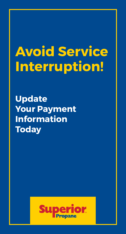## **Avoid Service Interruption!**

**Update Your Payment Information Today**

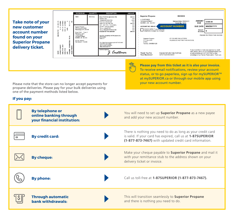

[at mySUPERIOR.ca](http://mysuperior.ca) or through our mobile app using

your new account number.

Please note that the store can no longer accept payments for propane deliveries. Please pay for your bulk deliveries using one of the payment methods listed below.

## **If you pay:**

**By telephone or online banking through your financial institution:** You will need to set up **Superior Propane** as a new payee and add your new account number. **By credit card:** There is nothing you need to do as long as your credit card is valid. If your card has expired, call us at **1-87SUPERIOR (1-877-873-7467)** with updated credit card information. **By cheque:** Make your cheque payable to **Superior Propane** and mail it with your remittance stub to the address shown on your delivery ticket or invoice. **By phone:** Call us toll-free at **1-87SUPERIOR (1-877-873-7467). Call us toll-free at <b>1-87SUPERIOR** (1-877-873-7467). **Through automatic bank withdrawals:** This will transition seamlessly to **Superior Propane** and there is nothing you need to do.